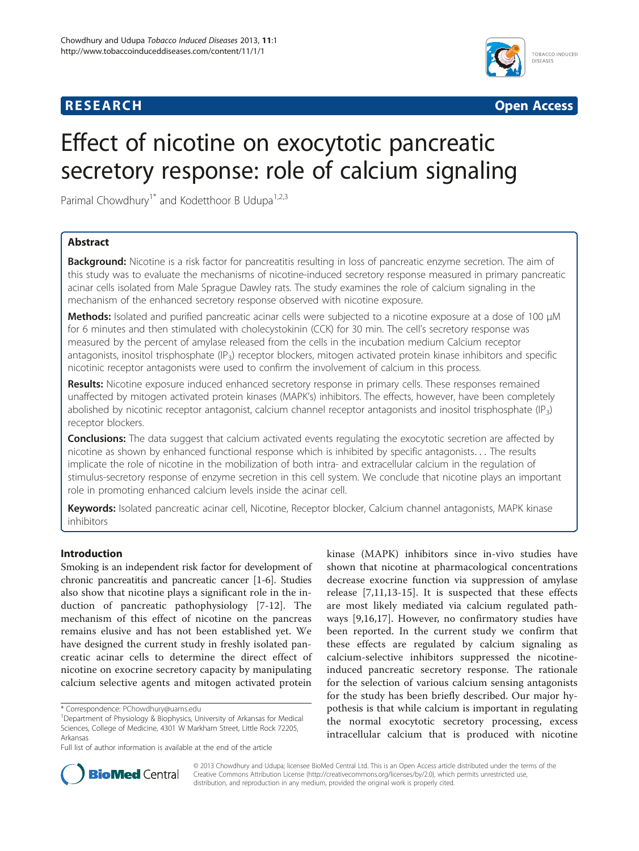# **RESEARCH RESEARCH** *CHECKER CHECKER CHECKER CHECKER CHECKER CHECKER CHECKER CHECKER CHECKER CHECKER CHECKER*



# Effect of nicotine on exocytotic pancreatic secretory response: role of calcium signaling

Parimal Chowdhury<sup>1\*</sup> and Kodetthoor B Udupa<sup>1,2,3</sup>

## Abstract

Background: Nicotine is a risk factor for pancreatitis resulting in loss of pancreatic enzyme secretion. The aim of this study was to evaluate the mechanisms of nicotine-induced secretory response measured in primary pancreatic acinar cells isolated from Male Sprague Dawley rats. The study examines the role of calcium signaling in the mechanism of the enhanced secretory response observed with nicotine exposure.

Methods: Isolated and purified pancreatic acinar cells were subjected to a nicotine exposure at a dose of 100 μM for 6 minutes and then stimulated with cholecystokinin (CCK) for 30 min. The cell's secretory response was measured by the percent of amylase released from the cells in the incubation medium Calcium receptor antagonists, inositol trisphosphate  $(\mathsf{IP}_3)$  receptor blockers, mitogen activated protein kinase inhibitors and specific nicotinic receptor antagonists were used to confirm the involvement of calcium in this process.

Results: Nicotine exposure induced enhanced secretory response in primary cells. These responses remained unaffected by mitogen activated protein kinases (MAPK's) inhibitors. The effects, however, have been completely abolished by nicotinic receptor antagonist, calcium channel receptor antagonists and inositol trisphosphate (IP<sub>3</sub>) receptor blockers.

**Conclusions:** The data suggest that calcium activated events regulating the exocytotic secretion are affected by nicotine as shown by enhanced functional response which is inhibited by specific antagonists... The results implicate the role of nicotine in the mobilization of both intra- and extracellular calcium in the regulation of stimulus-secretory response of enzyme secretion in this cell system. We conclude that nicotine plays an important role in promoting enhanced calcium levels inside the acinar cell.

Keywords: Isolated pancreatic acinar cell, Nicotine, Receptor blocker, Calcium channel antagonists, MAPK kinase inhibitors

### Introduction

Smoking is an independent risk factor for development of chronic pancreatitis and pancreatic cancer [\[1](#page-7-0)[-6](#page-8-0)]. Studies also show that nicotine plays a significant role in the induction of pancreatic pathophysiology [\[7](#page-8-0)-[12\]](#page-8-0). The mechanism of this effect of nicotine on the pancreas remains elusive and has not been established yet. We have designed the current study in freshly isolated pancreatic acinar cells to determine the direct effect of nicotine on exocrine secretory capacity by manipulating calcium selective agents and mitogen activated protein

kinase (MAPK) inhibitors since in-vivo studies have shown that nicotine at pharmacological concentrations decrease exocrine function via suppression of amylase release [\[7](#page-8-0),[11,13-15](#page-8-0)]. It is suspected that these effects are most likely mediated via calcium regulated pathways [[9,16,17](#page-8-0)]. However, no confirmatory studies have been reported. In the current study we confirm that these effects are regulated by calcium signaling as calcium-selective inhibitors suppressed the nicotineinduced pancreatic secretory response. The rationale for the selection of various calcium sensing antagonists for the study has been briefly described. Our major hypothesis is that while calcium is important in regulating the normal exocytotic secretory processing, excess intracellular calcium that is produced with nicotine



© 2013 Chowdhury and Udupa; licensee BioMed Central Ltd. This is an Open Access article distributed under the terms of the Creative Commons Attribution License (<http://creativecommons.org/licenses/by/2.0>), which permits unrestricted use, distribution, and reproduction in any medium, provided the original work is properly cited.

<sup>\*</sup> Correspondence: [PChowdhury@uams.edu](mailto:PChowdhury@uams.edu) <sup>1</sup>

Department of Physiology & Biophysics, University of Arkansas for Medical Sciences, College of Medicine, 4301 W Markham Street, Little Rock 72205, Arkansas

Full list of author information is available at the end of the article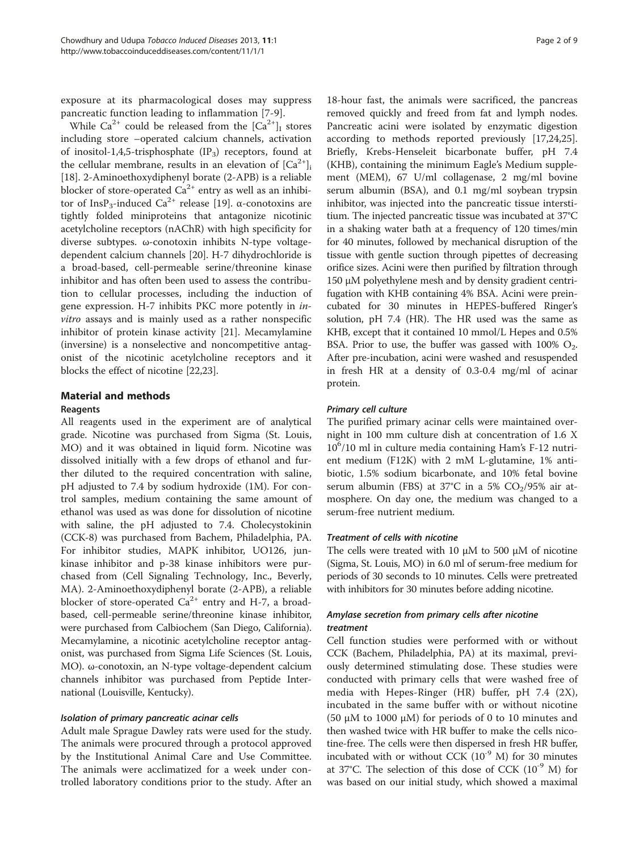exposure at its pharmacological doses may suppress pancreatic function leading to inflammation [[7-9](#page-8-0)].

While  $Ca^{2+}$  could be released from the  $|Ca^{2+}|\right|$  stores including store –operated calcium channels, activation of inositol-1,4,5-trisphosphate  $(\text{IP}_3)$  receptors, found at the cellular membrane, results in an elevation of  $|Ca^{2+}$ ] [[18\]](#page-8-0). 2-Aminoethoxydiphenyl borate (2-APB) is a reliable blocker of store-operated  $Ca^{2+}$  entry as well as an inhibi-tor of InsP<sub>3</sub>-induced Ca<sup>2+</sup> release [[19\]](#page-8-0). α-conotoxins are tightly folded miniproteins that antagonize nicotinic acetylcholine receptors (nAChR) with high specificity for diverse subtypes. ω-conotoxin inhibits N-type voltagedependent calcium channels [\[20](#page-8-0)]. H-7 dihydrochloride is a broad-based, cell-permeable serine/threonine kinase inhibitor and has often been used to assess the contribution to cellular processes, including the induction of gene expression. H-7 inhibits PKC more potently in invitro assays and is mainly used as a rather nonspecific inhibitor of protein kinase activity [[21](#page-8-0)]. Mecamylamine (inversine) is a nonselective and noncompetitive antagonist of the nicotinic acetylcholine receptors and it blocks the effect of nicotine [[22](#page-8-0),[23](#page-8-0)].

## Material and methods

### Reagents

All reagents used in the experiment are of analytical grade. Nicotine was purchased from Sigma (St. Louis, MO) and it was obtained in liquid form. Nicotine was dissolved initially with a few drops of ethanol and further diluted to the required concentration with saline, pH adjusted to 7.4 by sodium hydroxide (1M). For control samples, medium containing the same amount of ethanol was used as was done for dissolution of nicotine with saline, the pH adjusted to 7.4. Cholecystokinin (CCK-8) was purchased from Bachem, Philadelphia, PA. For inhibitor studies, MAPK inhibitor, UO126, junkinase inhibitor and p-38 kinase inhibitors were purchased from (Cell Signaling Technology, Inc., Beverly, MA). 2-Aminoethoxydiphenyl borate (2-APB), a reliable blocker of store-operated  $Ca^{2+}$  entry and H-7, a broadbased, cell-permeable serine/threonine kinase inhibitor, were purchased from Calbiochem (San Diego, California). Mecamylamine, a nicotinic acetylcholine receptor antagonist, was purchased from Sigma Life Sciences (St. Louis, MO). ω-conotoxin, an N-type voltage-dependent calcium channels inhibitor was purchased from Peptide International (Louisville, Kentucky).

Adult male Sprague Dawley rats were used for the study. The animals were procured through a protocol approved by the Institutional Animal Care and Use Committee. The animals were acclimatized for a week under controlled laboratory conditions prior to the study. After an

18-hour fast, the animals were sacrificed, the pancreas removed quickly and freed from fat and lymph nodes. Pancreatic acini were isolated by enzymatic digestion according to methods reported previously [[17,24,25](#page-8-0)]. Briefly, Krebs-Henseleit bicarbonate buffer, pH 7.4 (KHB), containing the minimum Eagle's Medium supplement (MEM), 67 U/ml collagenase, 2 mg/ml bovine serum albumin (BSA), and 0.1 mg/ml soybean trypsin inhibitor, was injected into the pancreatic tissue interstitium. The injected pancreatic tissue was incubated at 37°C in a shaking water bath at a frequency of 120 times/min for 40 minutes, followed by mechanical disruption of the tissue with gentle suction through pipettes of decreasing orifice sizes. Acini were then purified by filtration through 150 μM polyethylene mesh and by density gradient centrifugation with KHB containing 4% BSA. Acini were preincubated for 30 minutes in HEPES-buffered Ringer's solution, pH 7.4 (HR). The HR used was the same as KHB, except that it contained 10 mmol/L Hepes and 0.5% BSA. Prior to use, the buffer was gassed with  $100\%$  O<sub>2</sub>. After pre-incubation, acini were washed and resuspended in fresh HR at a density of 0.3-0.4 mg/ml of acinar protein.

The purified primary acinar cells were maintained overnight in 100 mm culture dish at concentration of 1.6 X 10<sup>6</sup> /10 ml in culture media containing Ham's F-12 nutrient medium (F12K) with 2 mM L-glutamine, 1% antibiotic, 1.5% sodium bicarbonate, and 10% fetal bovine serum albumin (FBS) at 37°C in a 5%  $CO<sub>2</sub>/95%$  air atmosphere. On day one, the medium was changed to a serum-free nutrient medium.

The cells were treated with 10  $\mu$ M to 500  $\mu$ M of nicotine (Sigma, St. Louis, MO) in 6.0 ml of serum-free medium for periods of 30 seconds to 10 minutes. Cells were pretreated with inhibitors for 30 minutes before adding nicotine.

# Amylase secretion from primary cells after nicotine

Cell function studies were performed with or without CCK (Bachem, Philadelphia, PA) at its maximal, previously determined stimulating dose. These studies were conducted with primary cells that were washed free of media with Hepes-Ringer (HR) buffer, pH 7.4 (2X), incubated in the same buffer with or without nicotine (50 μM to 1000 μM) for periods of 0 to 10 minutes and then washed twice with HR buffer to make the cells nicotine-free. The cells were then dispersed in fresh HR buffer, incubated with or without CCK  $(10^{-9}$  M) for 30 minutes at 37°C. The selection of this dose of CCK  $(10^{-9}$  M) for was based on our initial study, which showed a maximal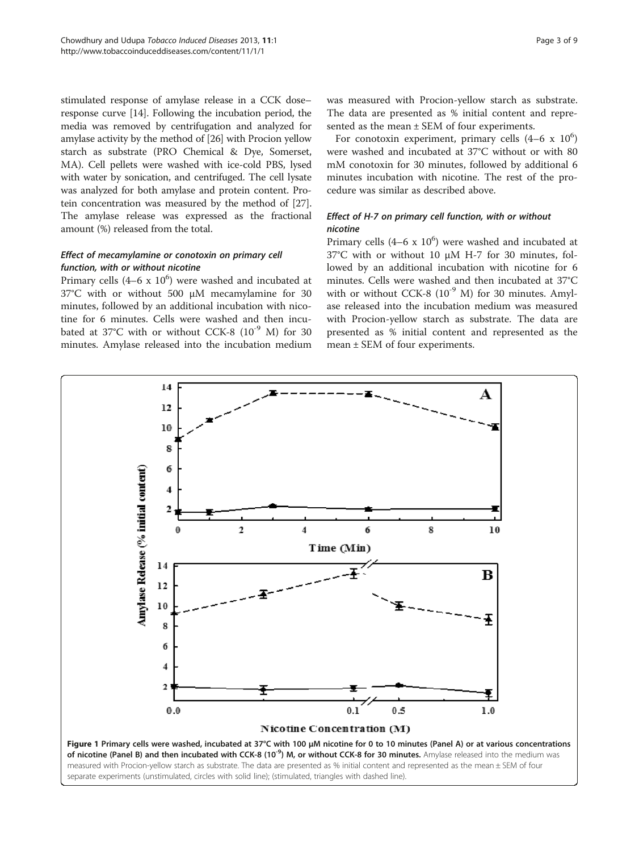<span id="page-2-0"></span>stimulated response of amylase release in a CCK dose– response curve [\[14\]](#page-8-0). Following the incubation period, the media was removed by centrifugation and analyzed for amylase activity by the method of [\[26\]](#page-8-0) with Procion yellow starch as substrate (PRO Chemical & Dye, Somerset, MA). Cell pellets were washed with ice-cold PBS, lysed with water by sonication, and centrifuged. The cell lysate was analyzed for both amylase and protein content. Protein concentration was measured by the method of [[27](#page-8-0)]. The amylase release was expressed as the fractional amount (%) released from the total.

# Effect of mecamylamine or conotoxin on primary cell<br>function, with or without nicotine

Primary cells  $(4-6 \times 10^6)$  were washed and incubated at 37°C with or without 500 μM mecamylamine for 30 minutes, followed by an additional incubation with nicotine for 6 minutes. Cells were washed and then incubated at  $37^{\circ}$ C with or without CCK-8 ( $10^{-9}$  M) for 30 minutes. Amylase released into the incubation medium

was measured with Procion-yellow starch as substrate. The data are presented as % initial content and represented as the mean ± SEM of four experiments.

For conotoxin experiment, primary cells  $(4-6 \times 10^6)$ were washed and incubated at 37°C without or with 80 mM conotoxin for 30 minutes, followed by additional 6 minutes incubation with nicotine. The rest of the procedure was similar as described above.

# $\sum_{i=1}^n$  or  $\sum_{i=1}^n$  on primary cell function, with or with or with or with or with or with or without  $\sum_{i=1}^n$  or  $\sum_{i=1}^n$  or  $\sum_{i=1}^n$  or  $\sum_{i=1}^n$  or  $\sum_{i=1}^n$  or  $\sum_{i=1}^n$  or  $\sum_{i=1}^n$  or  $\sum_{i=1$

Primary cells  $(4-6 \times 10^6)$  were washed and incubated at 37°C with or without 10 μM H-7 for 30 minutes, followed by an additional incubation with nicotine for 6 minutes. Cells were washed and then incubated at 37°C with or without CCK-8  $(10^{-9}$  M) for 30 minutes. Amylase released into the incubation medium was measured with Procion-yellow starch as substrate. The data are presented as % initial content and represented as the mean ± SEM of four experiments.

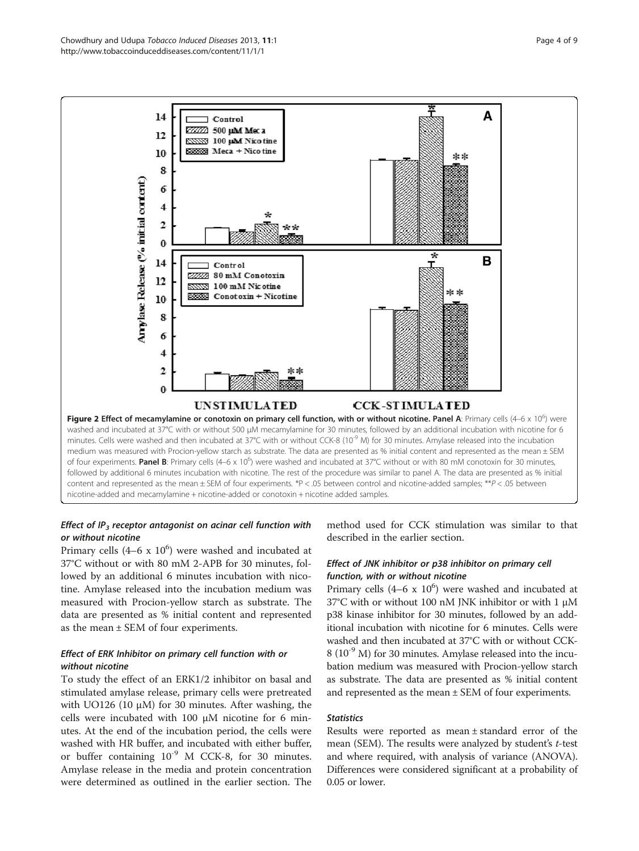<span id="page-3-0"></span>

# Effect of  $IP_3$  receptor antagonist on acinar cell function with or without nicotine

Primary cells  $(4-6 \times 10^6)$  were washed and incubated at 37°C without or with 80 mM 2-APB for 30 minutes, followed by an additional 6 minutes incubation with nicotine. Amylase released into the incubation medium was measured with Procion-yellow starch as substrate. The data are presented as % initial content and represented as the mean ± SEM of four experiments.

# Effect of ERK Inhibitor on primary cell function with or

To study the effect of an ERK1/2 inhibitor on basal and stimulated amylase release, primary cells were pretreated with UO126 (10 μM) for 30 minutes. After washing, the cells were incubated with  $100 \mu$ M nicotine for 6 minutes. At the end of the incubation period, the cells were washed with HR buffer, and incubated with either buffer, or buffer containing  $10^{-9}$  M CCK-8, for 30 minutes. Amylase release in the media and protein concentration were determined as outlined in the earlier section. The method used for CCK stimulation was similar to that described in the earlier section.

# Effect of JNK inhibitor or p38 inhibitor on primary cell

Primary cells  $(4-6 \times 10^6)$  were washed and incubated at 37°C with or without 100 nM JNK inhibitor or with 1 μM p38 kinase inhibitor for 30 minutes, followed by an additional incubation with nicotine for 6 minutes. Cells were washed and then incubated at 37°C with or without CCK-8 (10<sup>-9</sup> M) for 30 minutes. Amylase released into the incubation medium was measured with Procion-yellow starch as substrate. The data are presented as % initial content and represented as the mean ± SEM of four experiments.

Results were reported as mean ± standard error of the mean (SEM). The results were analyzed by student's t-test and where required, with analysis of variance (ANOVA). Differences were considered significant at a probability of 0.05 or lower.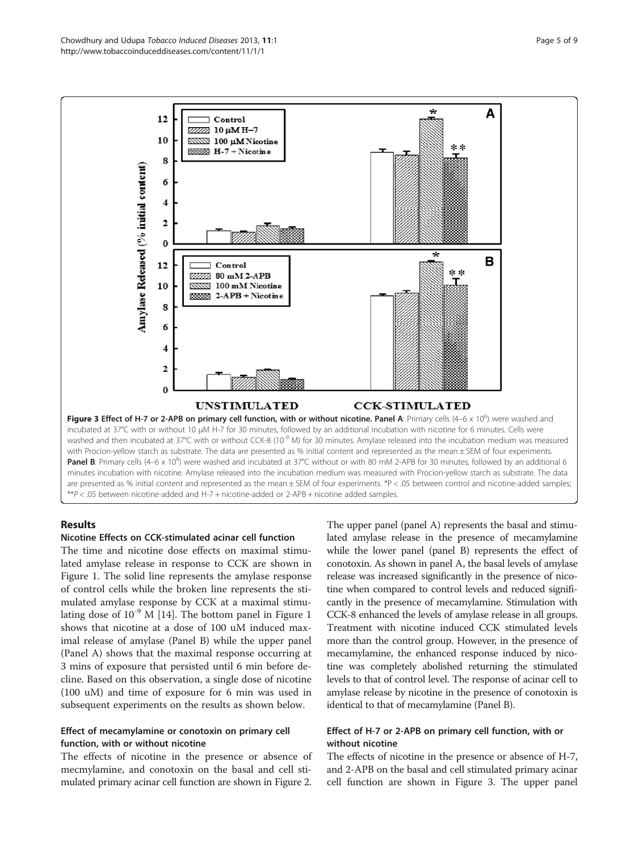<span id="page-4-0"></span>

### Results

## Nicotine Effects on CCK-stimulated acinar cell function

The time and nicotine dose effects on maximal stimulated amylase release in response to CCK are shown in Figure [1.](#page-2-0) The solid line represents the amylase response of control cells while the broken line represents the stimulated amylase response by CCK at a maximal stimulating dose of  $10^{-9}$  M [\[14\]](#page-8-0). The bottom panel in Figure [1](#page-2-0) shows that nicotine at a dose of 100 uM induced maximal release of amylase (Panel B) while the upper panel (Panel A) shows that the maximal response occurring at 3 mins of exposure that persisted until 6 min before decline. Based on this observation, a single dose of nicotine (100 uM) and time of exposure for 6 min was used in subsequent experiments on the results as shown below.

### Effect of mecamylamine or conotoxin on primary cell function, with or without nicotine

The effects of nicotine in the presence or absence of mecmylamine, and conotoxin on the basal and cell stimulated primary acinar cell function are shown in Figure [2](#page-3-0).

The upper panel (panel A) represents the basal and stimulated amylase release in the presence of mecamylamine while the lower panel (panel B) represents the effect of conotoxin. As shown in panel A, the basal levels of amylase release was increased significantly in the presence of nicotine when compared to control levels and reduced significantly in the presence of mecamylamine. Stimulation with CCK-8 enhanced the levels of amylase release in all groups. Treatment with nicotine induced CCK stimulated levels more than the control group. However, in the presence of mecamylamine, the enhanced response induced by nicotine was completely abolished returning the stimulated levels to that of control level. The response of acinar cell to amylase release by nicotine in the presence of conotoxin is identical to that of mecamylamine (Panel B).

### Effect of H-7 or 2-APB on primary cell function, with or without nicotine

The effects of nicotine in the presence or absence of H-7, and 2-APB on the basal and cell stimulated primary acinar cell function are shown in Figure 3. The upper panel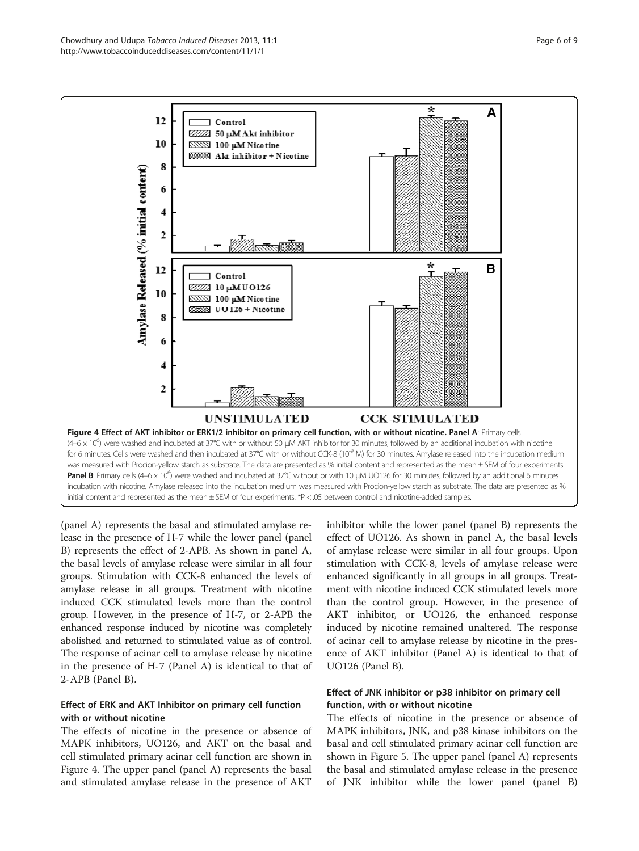<span id="page-5-0"></span>

(panel A) represents the basal and stimulated amylase release in the presence of H-7 while the lower panel (panel B) represents the effect of 2-APB. As shown in panel A, the basal levels of amylase release were similar in all four groups. Stimulation with CCK-8 enhanced the levels of amylase release in all groups. Treatment with nicotine induced CCK stimulated levels more than the control group. However, in the presence of H-7, or 2-APB the enhanced response induced by nicotine was completely abolished and returned to stimulated value as of control. The response of acinar cell to amylase release by nicotine in the presence of H-7 (Panel A) is identical to that of 2-APB (Panel B).

### Effect of ERK and AKT Inhibitor on primary cell function with or without nicotine

The effects of nicotine in the presence or absence of MAPK inhibitors, UO126, and AKT on the basal and cell stimulated primary acinar cell function are shown in Figure 4. The upper panel (panel A) represents the basal and stimulated amylase release in the presence of AKT

inhibitor while the lower panel (panel B) represents the effect of UO126. As shown in panel A, the basal levels of amylase release were similar in all four groups. Upon stimulation with CCK-8, levels of amylase release were enhanced significantly in all groups in all groups. Treatment with nicotine induced CCK stimulated levels more than the control group. However, in the presence of AKT inhibitor, or UO126, the enhanced response induced by nicotine remained unaltered. The response of acinar cell to amylase release by nicotine in the presence of AKT inhibitor (Panel A) is identical to that of UO126 (Panel B).

## Effect of JNK inhibitor or p38 inhibitor on primary cell function, with or without nicotine

The effects of nicotine in the presence or absence of MAPK inhibitors, JNK, and p38 kinase inhibitors on the basal and cell stimulated primary acinar cell function are shown in Figure [5.](#page-6-0) The upper panel (panel A) represents the basal and stimulated amylase release in the presence of JNK inhibitor while the lower panel (panel B)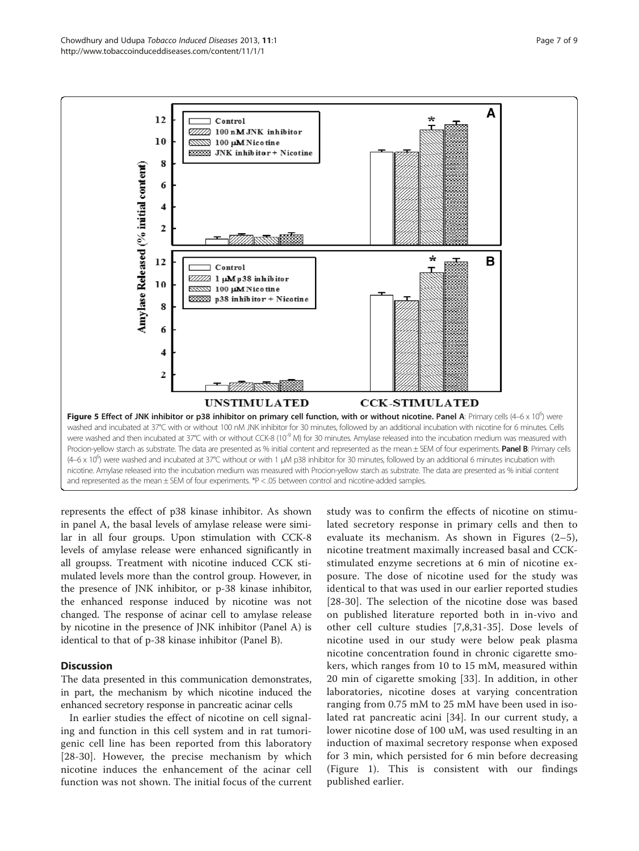<span id="page-6-0"></span>

represents the effect of p38 kinase inhibitor. As shown in panel A, the basal levels of amylase release were similar in all four groups. Upon stimulation with CCK-8 levels of amylase release were enhanced significantly in all groupss. Treatment with nicotine induced CCK stimulated levels more than the control group. However, in the presence of JNK inhibitor, or p-38 kinase inhibitor, the enhanced response induced by nicotine was not changed. The response of acinar cell to amylase release by nicotine in the presence of JNK inhibitor (Panel A) is identical to that of p-38 kinase inhibitor (Panel B).

### **Discussion**

The data presented in this communication demonstrates, in part, the mechanism by which nicotine induced the enhanced secretory response in pancreatic acinar cells

In earlier studies the effect of nicotine on cell signaling and function in this cell system and in rat tumorigenic cell line has been reported from this laboratory [[28](#page-8-0)-[30\]](#page-8-0). However, the precise mechanism by which nicotine induces the enhancement of the acinar cell function was not shown. The initial focus of the current

study was to confirm the effects of nicotine on stimulated secretory response in primary cells and then to evaluate its mechanism. As shown in Figures (2–5), nicotine treatment maximally increased basal and CCKstimulated enzyme secretions at 6 min of nicotine exposure. The dose of nicotine used for the study was identical to that was used in our earlier reported studies [[28](#page-8-0)-[30\]](#page-8-0). The selection of the nicotine dose was based on published literature reported both in in-vivo and other cell culture studies [[7,8,31](#page-8-0)-[35](#page-8-0)]. Dose levels of nicotine used in our study were below peak plasma nicotine concentration found in chronic cigarette smokers, which ranges from 10 to 15 mM, measured within 20 min of cigarette smoking [\[33](#page-8-0)]. In addition, in other laboratories, nicotine doses at varying concentration ranging from 0.75 mM to 25 mM have been used in isolated rat pancreatic acini [\[34](#page-8-0)]. In our current study, a lower nicotine dose of 100 uM, was used resulting in an induction of maximal secretory response when exposed for 3 min, which persisted for 6 min before decreasing (Figure [1](#page-2-0)). This is consistent with our findings published earlier.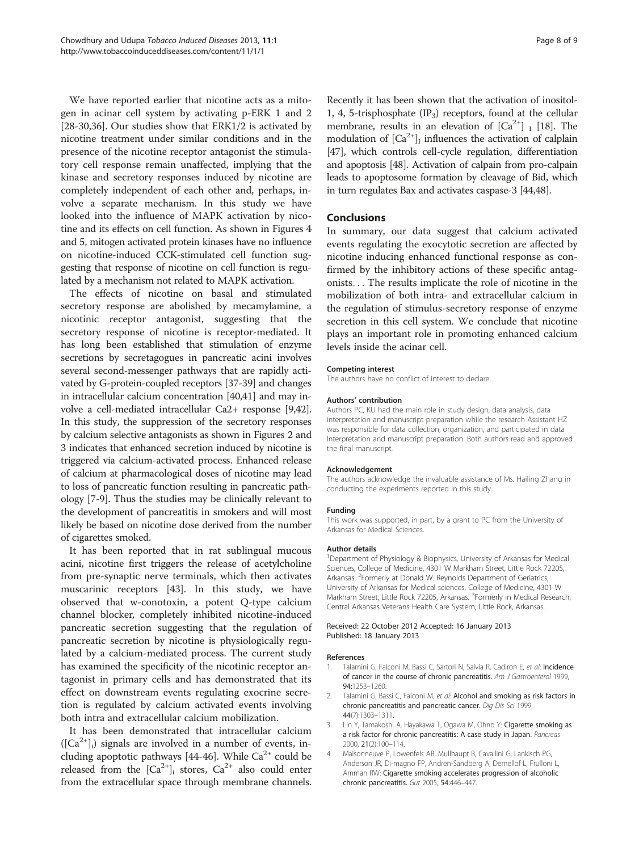<span id="page-7-0"></span>We have reported earlier that nicotine acts as a mitogen in acinar cell system by activating p-ERK 1 and 2 [[28-30,36\]](#page-8-0). Our studies show that ERK1/2 is activated by nicotine treatment under similar conditions and in the presence of the nicotine receptor antagonist the stimulatory cell response remain unaffected, implying that the kinase and secretory responses induced by nicotine are completely independent of each other and, perhaps, involve a separate mechanism. In this study we have looked into the influence of MAPK activation by nicotine and its effects on cell function. As shown in Figures [4](#page-5-0) and [5,](#page-6-0) mitogen activated protein kinases have no influence on nicotine-induced CCK-stimulated cell function suggesting that response of nicotine on cell function is regulated by a mechanism not related to MAPK activation.

The effects of nicotine on basal and stimulated secretory response are abolished by mecamylamine, a nicotinic receptor antagonist, suggesting that the secretory response of nicotine is receptor-mediated. It has long been established that stimulation of enzyme secretions by secretagogues in pancreatic acini involves several second-messenger pathways that are rapidly activated by G-protein-coupled receptors [[37](#page-8-0)-[39\]](#page-8-0) and changes in intracellular calcium concentration [\[40,41\]](#page-8-0) and may involve a cell-mediated intracellular Ca2+ response [[9,42](#page-8-0)]. In this study, the suppression of the secretory responses by calcium selective antagonists as shown in Figures [2](#page-3-0) and [3](#page-4-0) indicates that enhanced secretion induced by nicotine is triggered via calcium-activated process. Enhanced release of calcium at pharmacological doses of nicotine may lead to loss of pancreatic function resulting in pancreatic pathology [\[7](#page-8-0)-[9\]](#page-8-0). Thus the studies may be clinically relevant to the development of pancreatitis in smokers and will most likely be based on nicotine dose derived from the number of cigarettes smoked.

It has been reported that in rat sublingual mucous acini, nicotine first triggers the release of acetylcholine from pre-synaptic nerve terminals, which then activates muscarinic receptors [\[43](#page-8-0)]. In this study, we have observed that w-conotoxin, a potent Q-type calcium channel blocker, completely inhibited nicotine-induced pancreatic secretion suggesting that the regulation of pancreatic secretion by nicotine is physiologically regulated by a calcium-mediated process. The current study has examined the specificity of the nicotinic receptor antagonist in primary cells and has demonstrated that its effect on downstream events regulating exocrine secretion is regulated by calcium activated events involving both intra and extracellular calcium mobilization.

It has been demonstrated that intracellular calcium  $([Ca<sup>2+</sup>]$ <sub>i</sub>) signals are involved in a number of events, in-cluding apoptotic pathways [[44-46\]](#page-8-0). While  $Ca^{2+}$  could be released from the  $[Ca^{2+}]$ <sub>i</sub> stores,  $Ca^{2+}$  also could enter from the extracellular space through membrane channels.

Recently it has been shown that the activation of inositol-1, 4, 5-trisphosphate  $(IP_3)$  receptors, found at the cellular membrane, results in an elevation of  $[Ca^{2+}]$  I [\[18\]](#page-8-0). The modulation of  $[Ca^{2+}]$ <sub>I</sub> influences the activation of calplain [[47](#page-8-0)], which controls cell-cycle regulation, differentiation and apoptosis [\[48\]](#page-8-0). Activation of calpain from pro-calpain leads to apoptosome formation by cleavage of Bid, which in turn regulates Bax and activates caspase-3 [[44,48\]](#page-8-0).

### Conclusions

In summary, our data suggest that calcium activated events regulating the exocytotic secretion are affected by nicotine inducing enhanced functional response as confirmed by the inhibitory actions of these specific antagonists... The results implicate the role of nicotine in the mobilization of both intra- and extracellular calcium in the regulation of stimulus-secretory response of enzyme secretion in this cell system. We conclude that nicotine plays an important role in promoting enhanced calcium levels inside the acinar cell.

#### Competing interest

The authors have no conflict of interest to declare.

#### Authors' contribution

Authors PC, KU had the main role in study design, data analysis, data interpretation and manuscript preparation while the research Assistant HZ was responsible for data collection, organization, and participated in data Interpretation and manuscript preparation. Both authors read and approved the final manuscript.

#### Acknowledgement

The authors acknowledge the invaluable assistance of Ms. Hailing Zhang in conducting the experiments reported in this study.

#### Funding

This work was supported, in part, by a grant to PC from the University of Arkansas for Medical Sciences.

#### Author details

<sup>1</sup>Department of Physiology & Biophysics, University of Arkansas for Medical Sciences, College of Medicine, 4301 W Markham Street, Little Rock 72205, Arkansas. <sup>2</sup>Formerly at Donald W. Reynolds Department of Geriatrics University of Arkansas for Medical sciences, College of Medicine, 4301 W Markham Street, Little Rock 72205, Arkansas. <sup>3</sup>Formerly in Medical Research, Central Arkansas Veterans Health Care System, Little Rock, Arkansas.

#### Received: 22 October 2012 Accepted: 16 January 2013 Published: 18 January 2013

#### References

- Talamini G, Falconi M, Bassi C, Sartori N, Salvia R, Cadiron E, et al: Incidence of cancer in the course of chronic pancreatitis. Am J Gastroenterol 1999, 94:1253–1260.
- Talamini G, Bassi C, Falconi M, et al: Alcohol and smoking as risk factors in chronic pancreatitis and pancreatic cancer. Dig Dis Sci 1999, 44(7):1303–1311.
- 3. Lin Y, Tamakoshi A, Hayakawa T, Ogawa M, Ohno Y: Cigarette smoking as a risk factor for chronic pancreatitis: A case study in Japan. Pancreas 2000, 21(2):100–114.
- 4. Maisonneuve P, Lowenfels AB, Mullhaupt B, Cavallini G, Lankisch PG, Anderson JR, Di-magno FP, Andren-Sandberg A, Demellof L, Frulloni L, Amman RW: Cigarette smoking accelerates progression of alcoholic chronic pancreatitis. Gut 2005, 54:446–447.